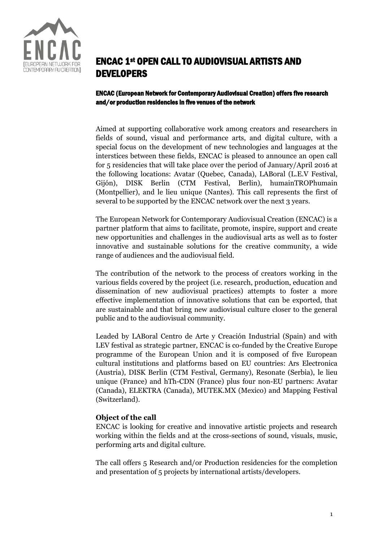

# ENCAC 1st OPEN CALL TO AUDIOVISUAL ARTISTS AND DEVELOPERS

ENCAC (European Network for Contemporary Audiovisual Creation) offers five research and/or production residencies in five venues of the network

Aimed at supporting collaborative work among creators and researchers in fields of sound, visual and performance arts, and digital culture, with a special focus on the development of new technologies and languages at the interstices between these fields, ENCAC is pleased to announce an open call for 5 residencies that will take place over the period of January/April 2016 at the following locations: Avatar (Quebec, Canada), LABoral (L.E.V Festival, Gijón), DISK Berlin (CTM Festival, Berlin), humainTROPhumain (Montpellier), and le lieu unique (Nantes). This call represents the first of several to be supported by the ENCAC network over the next 3 years.

The European Network for Contemporary Audiovisual Creation (ENCAC) is a partner platform that aims to facilitate, promote, inspire, support and create new opportunities and challenges in the audiovisual arts as well as to foster innovative and sustainable solutions for the creative community, a wide range of audiences and the audiovisual field.

The contribution of the network to the process of creators working in the various fields covered by the project (i.e. research, production, education and dissemination of new audiovisual practices) attempts to foster a more effective implementation of innovative solutions that can be exported, that are sustainable and that bring new audiovisual culture closer to the general public and to the audiovisual community.

Leaded by LABoral Centro de Arte y Creación Industrial (Spain) and with LEV festival as strategic partner, ENCAC is co-funded by the Creative Europe programme of the European Union and it is composed of five European cultural institutions and platforms based on EU countries: Ars Electronica (Austria), DISK Berlin (CTM Festival, Germany), Resonate (Serbia), le lieu unique (France) and hTh-CDN (France) plus four non-EU partners: Avatar (Canada), ELEKTRA (Canada), MUTEK.MX (Mexico) and Mapping Festival (Switzerland).

## **Object of the call**

ENCAC is looking for creative and innovative artistic projects and research working within the fields and at the cross-sections of sound, visuals, music, performing arts and digital culture.

The call offers 5 Research and/or Production residencies for the completion and presentation of 5 projects by international artists/developers.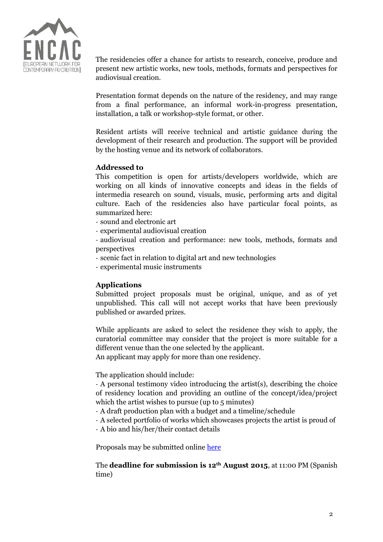

The residencies offer a chance for artists to research, conceive, produce and present new artistic works, new tools, methods, formats and perspectives for audiovisual creation.

Presentation format depends on the nature of the residency, and may range from a final performance, an informal work-in-progress presentation, installation, a talk or workshop-style format, or other.

Resident artists will receive technical and artistic guidance during the development of their research and production. The support will be provided by the hosting venue and its network of collaborators.

# **Addressed to**

This competition is open for artists/developers worldwide, which are working on all kinds of innovative concepts and ideas in the fields of intermedia research on sound, visuals, music, performing arts and digital culture. Each of the residencies also have particular focal points, as summarized here:

- sound and electronic art
- experimental audiovisual creation

- audiovisual creation and performance: new tools, methods, formats and perspectives

- scenic fact in relation to digital art and new technologies
- experimental music instruments

# **Applications**

Submitted project proposals must be original, unique, and as of yet unpublished. This call will not accept works that have been previously published or awarded prizes.

While applicants are asked to select the residence they wish to apply, the curatorial committee may consider that the project is more suitable for a different venue than the one selected by the applicant.

An applicant may apply for more than one residency.

The application should include:

- A personal testimony video introducing the artist(s), describing the choice of residency location and providing an outline of the concept/idea/project which the artist wishes to pursue (up to 5 minutes)

- A draft production plan with a budget and a timeline/schedule
- A selected portfolio of works which showcases projects the artist is proud of
- A bio and his/her/their contact details

Proposals may be submitted online [here](http://www.laboralcentrodearte.org/en/r/convocatorias/i-convo-encac)

The **deadline for submission is 12th August 2015**, at 11:00 PM (Spanish time)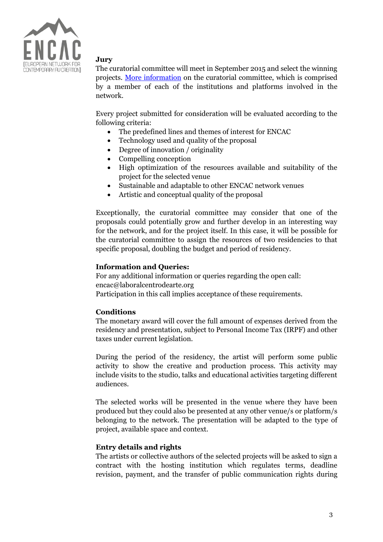

# **Jury**

The curatorial committee will meet in September 2015 and select the winning projects. [More information](http://www.laboralcentrodearte.org/en/files/2015/encac/red) on the curatorial committee, which is comprised by a member of each of the institutions and platforms involved in the network.

Every project submitted for consideration will be evaluated according to the following criteria:

- The predefined lines and themes of interest for ENCAC
- Technology used and quality of the proposal
- Degree of innovation / originality
- Compelling conception
- High optimization of the resources available and suitability of the project for the selected venue
- Sustainable and adaptable to other ENCAC network venues
- Artistic and conceptual quality of the proposal

Exceptionally, the curatorial committee may consider that one of the proposals could potentially grow and further develop in an interesting way for the network, and for the project itself. In this case, it will be possible for the curatorial committee to assign the resources of two residencies to that specific proposal, doubling the budget and period of residency.

# **Information and Queries:**

For any additional information or queries regarding the open call: encac@laboralcentrodearte.org Participation in this call implies acceptance of these requirements.

## **Conditions**

The monetary award will cover the full amount of expenses derived from the residency and presentation, subject to Personal Income Tax (IRPF) and other taxes under current legislation.

During the period of the residency, the artist will perform some public activity to show the creative and production process. This activity may include visits to the studio, talks and educational activities targeting different audiences.

The selected works will be presented in the venue where they have been produced but they could also be presented at any other venue/s or platform/s belonging to the network. The presentation will be adapted to the type of project, available space and context.

## **Entry details and rights**

The artists or collective authors of the selected projects will be asked to sign a contract with the hosting institution which regulates terms, deadline revision, payment, and the transfer of public communication rights during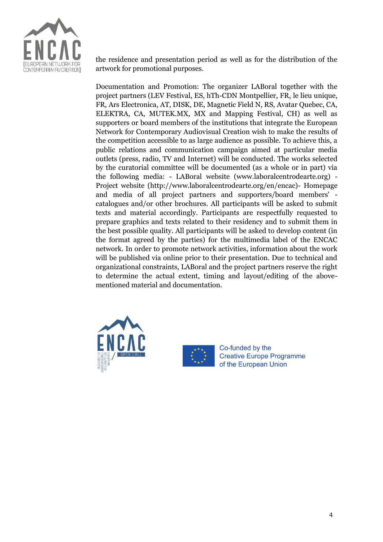

the residence and presentation period as well as for the distribution of the artwork for promotional purposes.

Documentation and Promotion: The organizer LABoral together with the project partners (LEV Festival, ES, hTh-CDN Montpellier, FR, le lieu unique, FR, Ars Electronica, AT, DISK, DE, Magnetic Field N, RS, Avatar Quebec, CA, ELEKTRA, CA, MUTEK.MX, MX and Mapping Festival, CH) as well as supporters or board members of the institutions that integrate the European Network for Contemporary Audiovisual Creation wish to make the results of the competition accessible to as large audience as possible. To achieve this, a public relations and communication campaign aimed at particular media outlets (press, radio, TV and Internet) will be conducted. The works selected by the curatorial committee will be documented (as a whole or in part) via the following media: - LABoral website (www.laboralcentrodearte.org) - Project website (http://www.laboralcentrodearte.org/en/encac)- Homepage and media of all project partners and supporters/board members' catalogues and/or other brochures. All participants will be asked to submit texts and material accordingly. Participants are respectfully requested to prepare graphics and texts related to their residency and to submit them in the best possible quality. All participants will be asked to develop content (in the format agreed by the parties) for the multimedia label of the ENCAC network. In order to promote network activities, information about the work will be published via online prior to their presentation. Due to technical and organizational constraints, LABoral and the project partners reserve the right to determine the actual extent, timing and layout/editing of the abovementioned material and documentation.





Co-funded by the **Creative Europe Programme** of the European Union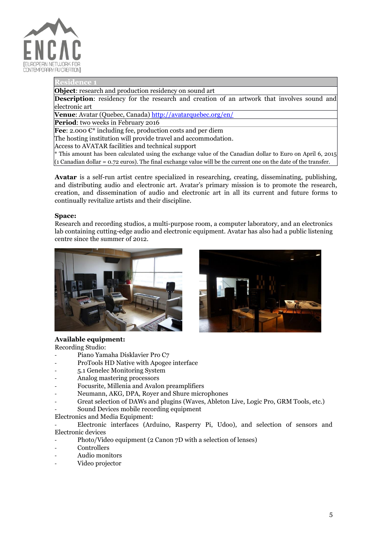

#### **Residence**

**Object**: research and production residency on sound art

**Description**: residency for the research and creation of an artwork that involves sound and electronic art

**Venue**: Avatar (Quebec, Canada[\) http://avatarquebec.org/en/](http://avatarquebec.org/en/)

**Period**: two weeks in February 2016

**Fee**: 2.000 €<sup>\*</sup> including fee, production costs and per diem

The hosting institution will provide travel and accommodation.

Access to AVATAR facilities and technical support

\* This amount has been calculated using the exchange value of the Canadian dollar to Euro on April 6, 2015  $(1)$  Canadian dollar = 0.72 euros). The final exchange value will be the current one on the date of the transfer.

**Avatar** is a self-run artist centre specialized in researching, creating, disseminating, publishing, and distributing audio and electronic art. Avatar's primary mission is to promote the research, creation, and dissemination of audio and electronic art in all its current and future forms to continually revitalize artists and their discipline.

#### **Space:**

Research and recording studios, a multi-purpose room, a computer laboratory, and an electronics lab containing cutting-edge audio and electronic equipment. Avatar has also had a public listening centre since the summer of 2012.





### **Available equipment:**

Recording Studio:

- Piano Yamaha Disklavier Pro C7
- ProTools HD Native with Apogee interface
- 5.1 Genelec Monitoring System
- Analog mastering processors
- Focusrite, Millenia and Avalon preamplifiers
- Neumann, AKG, DPA, Rover and Shure microphones
- Great selection of DAWs and plugins (Waves, Ableton Live, Logic Pro, GRM Tools, etc.)
- Sound Devices mobile recording equipment

#### Electronics and Media Equipment:

- Electronic interfaces (Arduino, Rasperry Pi, Udoo), and selection of sensors and Electronic devices

- Photo/Video equipment (2 Canon 7D with a selection of lenses)
- Controllers
- Audio monitors
- Video projector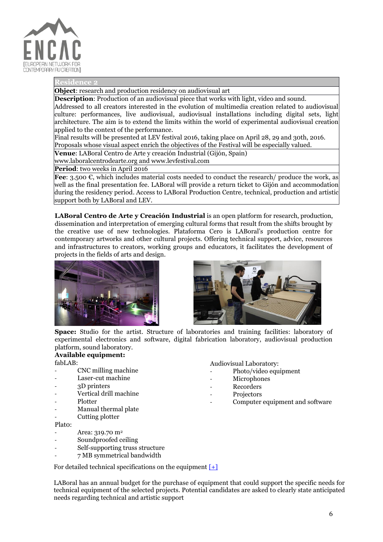

#### **Resider**

**Object**: research and production residency on audiovisual art

**Description:** Production of an audiovisual piece that works with light, video and sound.

Addressed to all creators interested in the evolution of multimedia creation related to audiovisual culture: performances, live audiovisual, audiovisual installations including digital sets, light architecture. The aim is to extend the limits within the world of experimental audiovisual creation applied to the context of the performance.

Final results will be presented at LEV festival 2016, taking place on April 28, 29 and 30th, 2016. Proposals whose visual aspect enrich the objectives of the Festival will be especially valued.

**Venue**: LABoral Centro de Arte y creación Industrial (Gijón, Spain)

[www.laboralcentrodearte.org](http://www.laboralcentrodearte.org/) and www.levfestival.com

**Period**: two weeks in April 2016

**Fee**: 3.500 €, which includes material costs needed to conduct the research/ produce the work, as well as the final presentation fee. LABoral will provide a return ticket to Gijón and accommodation during the residency period. Access to LABoral Production Centre, technical, production and artistic support both by LABoral and LEV.

**LABoral Centro de Arte y Creación Industrial** is an open platform for research, production, dissemination and interpretation of emerging cultural forms that result from the shifts brought by the creative use of new technologies. Plataforma Cero is LABoral's production centre for contemporary artworks and other cultural projects. Offering technical support, advice, resources and infrastructures to creators, working groups and educators, it facilitates the development of projects in the fields of arts and design.





**Space:** Studio for the artist. Structure of laboratories and training facilities: laboratory of experimental electronics and software, digital fabrication laboratory, audiovisual production platform, sound laboratory.

#### **Available equipment:** fabLAB:

- CNC milling machine
- Laser-cut machine
- 3D printers
- Vertical drill machine
- **Plotter**
- Manual thermal plate
- Cutting plotter

Plat0:

- Area: 319.70 m<sup>2</sup>
- Soundproofed ceiling
- Self-supporting truss structure
- 7 MB symmetrical bandwidth

Audiovisual Laboratory:

- Photo/video equipment
- **Microphones**
- **Recorders**
- **Projectors** 
	- Computer equipment and software

For detailed technical specifications on the equipment  $[+]$ 

LABoral has an annual budget for the purchase of equipment that could support the specific needs for technical equipment of the selected projects. Potential candidates are asked to clearly state anticipated needs regarding technical and artistic support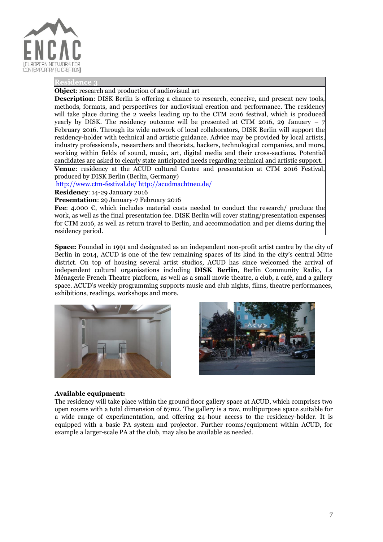

#### **Resid**

**Object**: research and production of audiovisual art

**Description:** DISK Berlin is offering a chance to research, conceive, and present new tools, methods, formats, and perspectives for audiovisual creation and performance. The residency will take place during the 2 weeks leading up to the CTM 2016 festival, which is produced yearly by DISK. The residency outcome will be presented at CTM 2016, 29 January  $-7$ February 2016. Through its wide network of local collaborators, DISK Berlin will support the residency-holder with technical and artistic guidance. Advice may be provided by local artists, industry professionals, researchers and theorists, hackers, technological companies, and more, working within fields of sound, music, art, digital media and their cross-sections. Potential candidates are asked to clearly state anticipated needs regarding technical and artistic support. **Venue**: residency at the ACUD cultural Centre and presentation at CTM 2016 Festival,

produced by DISK Berlin (Berlin, Germany)

<http://www.ctm-festival.de/> <http://acudmachtneu.de/>

**Residency**: 14-29 January 2016

**Presentation**: 29 January-7 February 2016

**Fee**: 4.000 €, which includes material costs needed to conduct the research/ produce the work, as well as the final presentation fee. DISK Berlin will cover stating/presentation expenses for CTM 2016, as well as return travel to Berlin, and accommodation and per diems during the residency period.

**Space:** Founded in 1991 and designated as an independent non-profit artist centre by the city of Berlin in 2014, ACUD is one of the few remaining spaces of its kind in the city's central Mitte district. On top of housing several artist studios, ACUD has since welcomed the arrival of independent cultural organisations including **DISK Berlin**, Berlin Community Radio, La Ménagerie French Theatre platform, as well as a small movie theatre, a club, a café, and a gallery space. ACUD's weekly programming supports music and club nights, films, theatre performances, exhibitions, readings, workshops and more.





#### **Available equipment:**

The residency will take place within the ground floor gallery space at ACUD, which comprises two open rooms with a total dimension of 67m2. The gallery is a raw, multipurpose space suitable for a wide range of experimentation, and offering 24-hour access to the residency-holder. It is equipped with a basic PA system and projector. Further rooms/equipment within ACUD, for example a larger-scale PA at the club, may also be available as needed.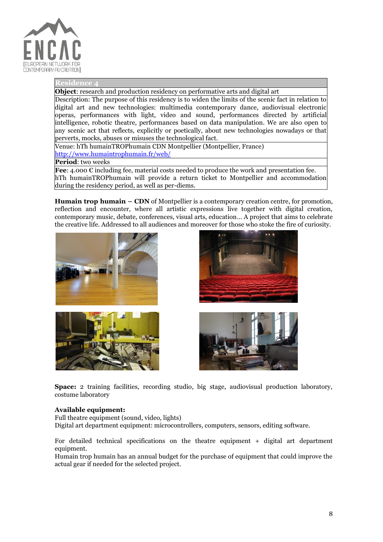

#### **Residence**

**Object**: research and production residency on performative arts and digital art

Description: The purpose of this residency is to widen the limits of the scenic fact in relation to digital art and new technologies: multimedia contemporary dance, audiovisual electronic operas, performances with light, video and sound, performances directed by artificial intelligence, robotic theatre, performances based on data manipulation. We are also open to any scenic act that reflects, explicitly or poetically, about new technologies nowadays or that perverts, mocks, abuses or misuses the technological fact.

Venue: hTh humainTROPhumain CDN Montpellier (Montpellier, France) <http://www.humaintrophumain.fr/web/>

**Period**: two weeks

**Fee**: 4.000 € including fee, material costs needed to produce the work and presentation fee. hTh humainTROPhumain will provide a return ticket to Montpellier and accommodation during the residency period, as well as per-diems.

**Humain trop humain – CDN** of Montpellier is a contemporary creation centre, for promotion, reflection and encounter, where all artistic expressions live together with digital creation, contemporary music, debate, conferences, visual arts, education… A project that aims to celebrate the creative life. Addressed to all audiences and moreover for those who stoke the fire of curiosity.







**Space:** 2 training facilities, recording studio, big stage, audiovisual production laboratory, costume laboratory

### **Available equipment:**

Full theatre equipment (sound, video, lights) Digital art department equipment: microcontrollers, computers, sensors, editing software.

For detailed technical specifications on the theatre equipment + digital art department equipment.

Humain trop humain has an annual budget for the purchase of equipment that could improve the actual gear if needed for the selected project.